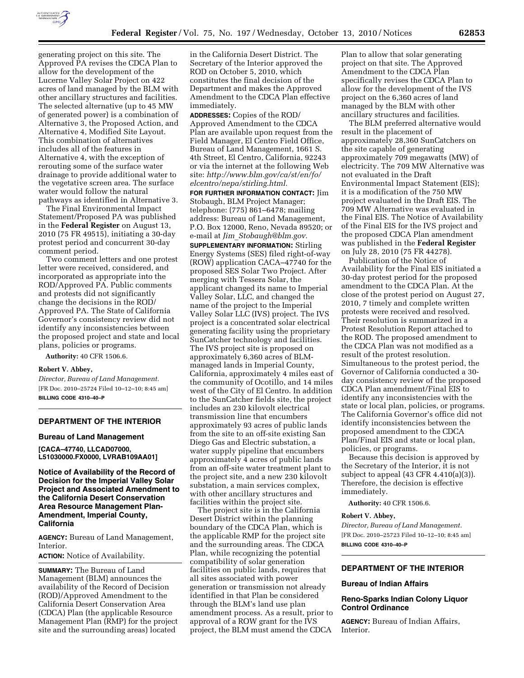

generating project on this site. The Approved PA revises the CDCA Plan to allow for the development of the Lucerne Valley Solar Project on 422 acres of land managed by the BLM with other ancillary structures and facilities. The selected alternative (up to 45 MW of generated power) is a combination of Alternative 3, the Proposed Action, and Alternative 4, Modified Site Layout. This combination of alternatives includes all of the features in Alternative 4, with the exception of rerouting some of the surface water drainage to provide additional water to the vegetative screen area. The surface water would follow the natural pathways as identified in Alternative 3.

The Final Environmental Impact Statement/Proposed PA was published in the **Federal Register** on August 13, 2010 (75 FR 49515), initiating a 30-day protest period and concurrent 30-day comment period.

Two comment letters and one protest letter were received, considered, and incorporated as appropriate into the ROD/Approved PA. Public comments and protests did not significantly change the decisions in the ROD/ Approved PA. The State of California Governor's consistency review did not identify any inconsistencies between the proposed project and state and local plans, policies or programs.

**Authority:** 40 CFR 1506.6.

### **Robert V. Abbey,**

*Director, Bureau of Land Management.*  [FR Doc. 2010–25724 Filed 10–12–10; 8:45 am] **BILLING CODE 4310–40–P** 

### **DEPARTMENT OF THE INTERIOR**

**Bureau of Land Management** 

**[CACA–47740, LLCAD07000, L51030000.FX0000, LVRAB109AA01]** 

**Notice of Availability of the Record of Decision for the Imperial Valley Solar Project and Associated Amendment to the California Desert Conservation Area Resource Management Plan-Amendment, Imperial County, California** 

**AGENCY:** Bureau of Land Management, Interior.

**ACTION:** Notice of Availability.

**SUMMARY:** The Bureau of Land Management (BLM) announces the availability of the Record of Decision (ROD)/Approved Amendment to the California Desert Conservation Area (CDCA) Plan (the applicable Resource Management Plan (RMP) for the project site and the surrounding areas) located

in the California Desert District. The Secretary of the Interior approved the ROD on October 5, 2010, which constitutes the final decision of the Department and makes the Approved Amendment to the CDCA Plan effective immediately.

**ADDRESSES:** Copies of the ROD/ Approved Amendment to the CDCA Plan are available upon request from the Field Manager, El Centro Field Office, Bureau of Land Management, 1661 S. 4th Street, El Centro, California, 92243 or via the internet at the following Web site: *[http://www.blm.gov/ca/st/en/fo/](http://www.blm.gov/ca/st/en/fo/elcentro/nepa/stirling.html) [elcentro/nepa/stirling.html.](http://www.blm.gov/ca/st/en/fo/elcentro/nepa/stirling.html)* 

**FOR FURTHER INFORMATION CONTACT:** Jim Stobaugh, BLM Project Manager; telephone: (775) 861–6478; mailing address: Bureau of Land Management, P.O. Box 12000, Reno, Nevada 89520; or e-mail at *Jim*\_*[Stobaugh@blm.gov.](mailto:Jim_Stobaugh@blm.gov)* 

**SUPPLEMENTARY INFORMATION:** Stirling Energy Systems (SES) filed right-of-way (ROW) application CACA–47740 for the proposed SES Solar Two Project. After merging with Tessera Solar, the applicant changed its name to Imperial Valley Solar, LLC, and changed the name of the project to the Imperial Valley Solar LLC (IVS) project. The IVS project is a concentrated solar electrical generating facility using the proprietary SunCatcher technology and facilities. The IVS project site is proposed on approximately 6,360 acres of BLMmanaged lands in Imperial County, California, approximately 4 miles east of the community of Ocotillo, and 14 miles west of the City of El Centro. In addition to the SunCatcher fields site, the project includes an 230 kilovolt electrical transmission line that encumbers approximately 93 acres of public lands from the site to an off-site existing San Diego Gas and Electric substation, a water supply pipeline that encumbers approximately 4 acres of public lands from an off-site water treatment plant to the project site, and a new 230 kilovolt substation, a main services complex, with other ancillary structures and facilities within the project site.

The project site is in the California Desert District within the planning boundary of the CDCA Plan, which is the applicable RMP for the project site and the surrounding areas. The CDCA Plan, while recognizing the potential compatibility of solar generation facilities on public lands, requires that all sites associated with power generation or transmission not already identified in that Plan be considered through the BLM's land use plan amendment process. As a result, prior to approval of a ROW grant for the IVS project, the BLM must amend the CDCA

Plan to allow that solar generating project on that site. The Approved Amendment to the CDCA Plan specifically revises the CDCA Plan to allow for the development of the IVS project on the 6,360 acres of land managed by the BLM with other ancillary structures and facilities.

The BLM preferred alternative would result in the placement of approximately 28,360 SunCatchers on the site capable of generating approximately 709 megawatts (MW) of electricity. The 709 MW Alternative was not evaluated in the Draft Environmental Impact Statement (EIS); it is a modification of the 750 MW project evaluated in the Draft EIS. The 709 MW Alternative was evaluated in the Final EIS. The Notice of Availability of the Final EIS for the IVS project and the proposed CDCA Plan amendment was published in the **Federal Register**  on July 28, 2010 (75 FR 44278).

Publication of the Notice of Availability for the Final EIS initiated a 30-day protest period for the proposed amendment to the CDCA Plan. At the close of the protest period on August 27, 2010, 7 timely and complete written protests were received and resolved. Their resolution is summarized in a Protest Resolution Report attached to the ROD. The proposed amendment to the CDCA Plan was not modified as a result of the protest resolution. Simultaneous to the protest period, the Governor of California conducted a 30 day consistency review of the proposed CDCA Plan amendment/Final EIS to identify any inconsistencies with the state or local plan, policies, or programs. The California Governor's office did not identify inconsistencies between the proposed amendment to the CDCA Plan/Final EIS and state or local plan, policies, or programs.

Because this decision is approved by the Secretary of the Interior, it is not subject to appeal (43 CFR 4.410(a)(3)). Therefore, the decision is effective immediately.

**Authority:** 40 CFR 1506.6.

### **Robert V. Abbey,**

*Director, Bureau of Land Management.*  [FR Doc. 2010–25723 Filed 10–12–10; 8:45 am] **BILLING CODE 4310–40–P** 

# **DEPARTMENT OF THE INTERIOR**

## **Bureau of Indian Affairs**

# **Reno-Sparks Indian Colony Liquor Control Ordinance**

**AGENCY:** Bureau of Indian Affairs, Interior.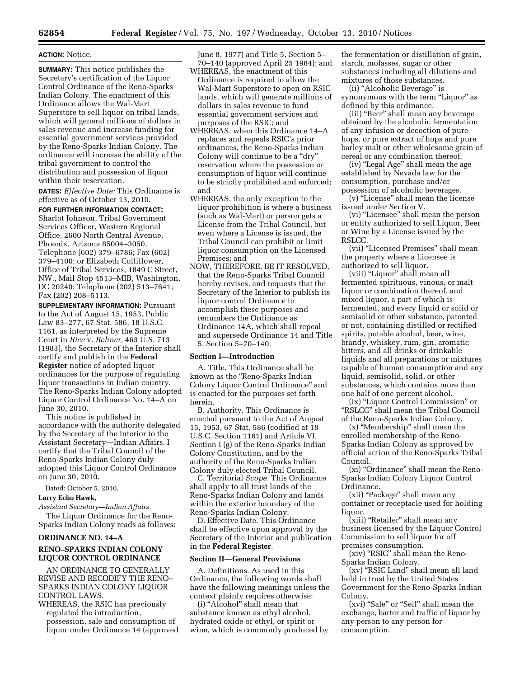### **ACTION:** Notice.

**SUMMARY:** This notice publishes the Secretary's certification of the Liquor Control Ordinance of the Reno-Sparks Indian Colony. The enactment of this Ordinance allows the Wal-Mart Superstore to sell liquor on tribal lands, which will general millions of dollars in sales revenue and increase funding for essential government services provided by the Reno-Sparks Indian Colony. The ordinance will increase the ability of the tribal government to control the distribution and possession of liquor within their reservation.

**DATES:** *Effective Date:* This Ordinance is effective as of October 13, 2010.

**FOR FURTHER INFORMATION CONTACT:**  Sharlot Johnson, Tribal Government Services Officer, Western Regional Office, 2600 North Central Avenue, Phoenix, Arizona 85004–3050, Telephone (602) 379–6786; Fax (602) 379–4100; or Elizabeth Colliflower, Office of Tribal Services, 1849 C Street, NW., Mail Stop 4513–MIB, Washington, DC 20240; Telephone (202) 513–7641; Fax (202) 208–5113.

**SUPPLEMENTARY INFORMATION: Pursuant** to the Act of August 15, 1953, Public Law 83–277, 67 Stat. 586, 18 U.S.C. 1161, as interpreted by the Supreme Court in *Rice* v. *Rehner,* 463 U.S. 713 (1983), the Secretary of the Interior shall certify and publish in the **Federal Register** notice of adopted liquor ordinances for the purpose of regulating liquor transactions in Indian country. The Reno-Sparks Indian Colony adopted Liquor Control Ordinance No. 14–A on June 30, 2010.

This notice is published in accordance with the authority delegated by the Secretary of the Interior to the Assistant Secretary—Indian Affairs. I certify that the Tribal Council of the Reno-Sparks Indian Colony duly adopted this Liquor Control Ordinance on June 30, 2010.

Dated: October 5, 2010.

# **Larry Echo Hawk,**

*Assistant Secretary—Indian Affairs.* 

The Liquor Ordinance for the Reno-Sparks Indian Colony reads as follows:

### **ORDINANCE NO. 14–A**

# **RENO–SPARKS INDIAN COLONY LIQUOR CONTROL ORDINANCE**

AN ORDINANCE TO GENERALLY REVISE AND RECODIFY THE RENO– SPARKS INDIAN COLONY LIQUOR CONTROL LAWS.

WHEREAS, the RSIC has previously regulated the introduction, possession, sale and consumption of liquor under Ordinance 14 (approved June 8, 1977) and Title 5, Section 5– 70–140 (approved April 25 1984); and

- WHEREAS, the enactment of this Ordinance is required to allow the Wal-Mart Superstore to open on RSIC lands, which will generate millions of dollars in sales revenue to fund essential government services and purposes of the RSIC; and
- WHEREAS, when this Ordinance 14–A replaces and repeals RSIC's prior ordinances, the Reno-Sparks Indian Colony will continue to be a "dry" reservation where the possession or consumption of liquor will continue to be strictly prohibited and enforced; and
- WHEREAS, the only exception to the liquor prohibition is where a business (such as Wal-Mart) or person gets a License from the Tribal Council, but even where a License is issued, the Tribal Council can prohibit or limit liquor consumption on the Licensed Premises; and
- NOW, THEREFORE, BE IT RESOLVED, that the Reno-Sparks Tribal Council hereby revises, and requests that the Secretary of the Interior to publish its liquor control Ordinance to accomplish these purposes and renumbers the Ordinance as Ordinance 14A, which shall repeal and supersede Ordinance 14 and Title 5, Section 5–70–140.

### **Section I—Introduction**

A. Title. This Ordinance shall be known as the ''Reno-Sparks Indian Colony Liquor Control Ordinance'' and is enacted for the purposes set forth herein.

B. Authority. This Ordinance is enacted pursuant to the Act of August 15, 1953, 67 Stat. 586 (codified at 18 U.S.C. Section 1161) and Article VI, Section I (g) of the Reno-Sparks Indian Colony Constitution, and by the authority of the Reno-Sparks Indian Colony duly elected Tribal Council.

C. Territorial *Scope.* This Ordinance shall apply to all trust lands of the Reno-Sparks Indian Colony and lands within the exterior boundary of the Reno-Sparks Indian Colony.

D. Effective Date. This Ordinance shall be effective upon approval by the Secretary of the Interior and publication in the **Federal Register**.

# **Section II—General Provisions**

A. Definitions. As used in this Ordinance, the following words shall have the following meanings unless the context plainly requires otherwise:

(i) "Alcohol" shall mean that substance known as ethyl alcohol, hydrated oxide or ethyl, or spirit or wine, which is commonly produced by

the fermentation or distillation of grain, starch, molasses, sugar or other substances including all dilutions and mixtures of those substances.

(ii) ''Alcoholic Beverage'' is synonymous with the term "Liquor" as defined by this ordinance.

(iii) ''Beer'' shall mean any beverage obtained by the alcoholic fermentation of any infusion or decoction of pure hops, or pure extract of hops and pure barley malt or other wholesome grain of cereal or any combination thereof.

(iv) ''Legal Age'' shall mean the age established by Nevada law for the consumption, purchase and/or possession of alcoholic beverages.

(v) ''License'' shall mean the license issued under Section V.

(vi) ''Licensee'' shall mean the person or entity authorized to sell Liquor, Beer or Wine by a License issued by the RSLCC.

(vii) ''Licensed Premises'' shall mean the property where a Licensee is authorized to sell liquor.

(viii) ''Liquor'' shall mean all fermented spirituous, vinous, or malt liquor or combination thereof, and mixed liquor, a part of which is fermented, and every liquid or solid or semisolid or other substance, patented or not, containing distilled or rectified spirits, potable alcohol, beer, wine, brandy, whiskey, rum, gin, aromatic bitters, and all drinks or drinkable liquids and all preparations or mixtures capable of human consumption and any liquid, semisolid, solid, or other substances, which contains more than one half of one percent alcohol.

(ix) ''Liquor Control Commission'' or ''RSLCC'' shall mean the Tribal Council of the Reno-Sparks Indian Colony.

(x) ''Membership'' shall mean the enrolled membership of the Reno-Sparks Indian Colony as approved by official action of the Reno-Sparks Tribal Council.

(xi) ''Ordinance'' shall mean the Reno-Sparks Indian Colony Liquor Control Ordinance.

(xii) "Package" shall mean any container or receptacle used for holding liquor.

(xiii) "Retailer" shall mean any business licensed by the Liquor Control Commission to sell liquor for off premises consumption.

(xiv) "RSIC" shall mean the Reno-Sparks Indian Colony.

(xv) ''RSIC Land'' shall mean all land held in trust by the United States Government for the Reno-Sparks Indian Colony.

(xvi) "Sale" or "Sell" shall mean the exchange, barter and traffic of liquor by any person to any person for consumption.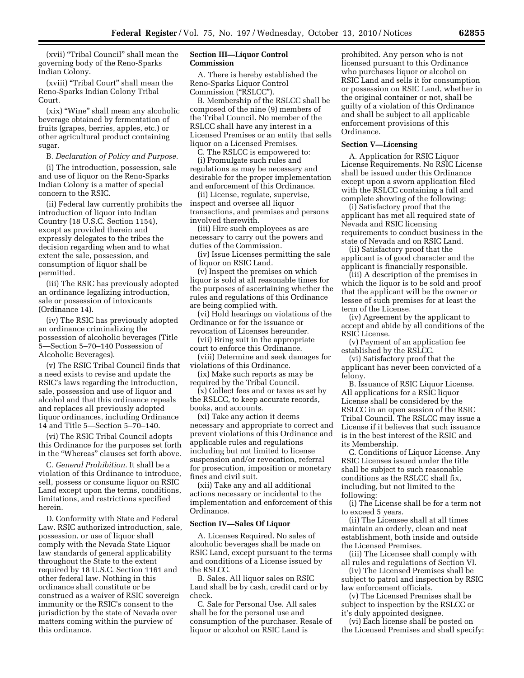(xvii) ''Tribal Council'' shall mean the governing body of the Reno-Sparks Indian Colony.

(xviii) ''Tribal Court'' shall mean the Reno-Sparks Indian Colony Tribal Court.

(xix) ''Wine'' shall mean any alcoholic beverage obtained by fermentation of fruits (grapes, berries, apples, etc.) or other agricultural product containing sugar.

B. *Declaration of Policy and Purpose.* 

(i) The introduction, possession, sale and use of liquor on the Reno-Sparks Indian Colony is a matter of special concern to the RSIC.

(ii) Federal law currently prohibits the introduction of liquor into Indian Country (18 U.S.C. Section 1154), except as provided therein and expressly delegates to the tribes the decision regarding when and to what extent the sale, possession, and consumption of liquor shall be permitted.

(iii) The RSIC has previously adopted an ordinance legalizing introduction, sale or possession of intoxicants (Ordinance 14).

(iv) The RSIC has previously adopted an ordinance criminalizing the possession of alcoholic beverages (Title 5—Section 5–70–140 Possession of Alcoholic Beverages).

(v) The RSIC Tribal Council finds that a need exists to revise and update the RSIC's laws regarding the introduction, sale, possession and use of liquor and alcohol and that this ordinance repeals and replaces all previously adopted liquor ordinances, including Ordinance 14 and Title 5—Section 5–70–140.

(vi) The RSIC Tribal Council adopts this Ordinance for the purposes set forth in the ''Whereas'' clauses set forth above.

C. *General Prohibition.* It shall be a violation of this Ordinance to introduce, sell, possess or consume liquor on RSIC Land except upon the terms, conditions, limitations, and restrictions specified herein.

D. Conformity with State and Federal Law. RSIC authorized introduction, sale, possession, or use of liquor shall comply with the Nevada State Liquor law standards of general applicability throughout the State to the extent required by 18 U.S.C. Section 1161 and other federal law. Nothing in this ordinance shall constitute or be construed as a waiver of RSIC sovereign immunity or the RSIC's consent to the jurisdiction by the state of Nevada over matters coming within the purview of this ordinance.

## **Section III—Liquor Control Commission**

A. There is hereby established the Reno-Sparks Liquor Control Commission (''RSLCC'').

B. Membership of the RSLCC shall be composed of the nine (9) members of the Tribal Council. No member of the RSLCC shall have any interest in a Licensed Premises or an entity that sells liquor on a Licensed Premises.

C. The RSLCC is empowered to: (i) Promulgate such rules and regulations as may be necessary and desirable for the proper implementation and enforcement of this Ordinance.

(ii) License, regulate, supervise, inspect and oversee all liquor transactions, and premises and persons involved therewith.

(iii) Hire such employees as are necessary to carry out the powers and duties of the Commission.

(iv) Issue Licenses permitting the sale of liquor on RSIC Land.

(v) Inspect the premises on which liquor is sold at all reasonable times for the purposes of ascertaining whether the rules and regulations of this Ordinance are being complied with.

(vi) Hold hearings on violations of the Ordinance or for the issuance or revocation of Licenses hereunder.

(vii) Bring suit in the appropriate court to enforce this Ordinance.

(viii) Determine and seek damages for violations of this Ordinance.

(ix) Make such reports as may be required by the Tribal Council.

(x) Collect fees and or taxes as set by the RSLCC, to keep accurate records, books, and accounts.

(xi) Take any action it deems necessary and appropriate to correct and prevent violations of this Ordinance and applicable rules and regulations including but not limited to license suspension and/or revocation, referral for prosecution, imposition or monetary fines and civil suit.

(xii) Take any and all additional actions necessary or incidental to the implementation and enforcement of this Ordinance.

### **Section IV—Sales Of Liquor**

A. Licenses Required. No sales of alcoholic beverages shall be made on RSIC Land, except pursuant to the terms and conditions of a License issued by the RSLCC.

B. Sales. All liquor sales on RSIC Land shall be by cash, credit card or by check.

C. Sale for Personal Use. All sales shall be for the personal use and consumption of the purchaser. Resale of liquor or alcohol on RSIC Land is

prohibited. Any person who is not licensed pursuant to this Ordinance who purchases liquor or alcohol on RSIC Land and sells it for consumption or possession on RSIC Land, whether in the original container or not, shall be guilty of a violation of this Ordinance and shall be subject to all applicable enforcement provisions of this Ordinance.

### **Section V—Licensing**

A. Application for RSIC Liquor License Requirements. No RSIC License shall be issued under this Ordinance except upon a sworn application filed with the RSLCC containing a full and complete showing of the following:

(i) Satisfactory proof that the applicant has met all required state of Nevada and RSIC licensing requirements to conduct business in the state of Nevada and on RSIC Land.

(ii) Satisfactory proof that the applicant is of good character and the applicant is financially responsible.

(iii) A description of the premises in which the liquor is to be sold and proof that the applicant will be the owner or lessee of such premises for at least the term of the License.

(iv) Agreement by the applicant to accept and abide by all conditions of the RSIC License.

(v) Payment of an application fee established by the RSLCC.

(vi) Satisfactory proof that the applicant has never been convicted of a felony.

B. Issuance of RSIC Liquor License. All applications for a RSIC liquor License shall be considered by the RSLCC in an open session of the RSIC Tribal Council. The RSLCC may issue a License if it believes that such issuance is in the best interest of the RSIC and its Membership.

C. Conditions of Liquor License. Any RSIC Licenses issued under the title shall be subject to such reasonable conditions as the RSLCC shall fix, including, but not limited to the following:

(i) The License shall be for a term not to exceed 5 years.

(ii) The Licensee shall at all times maintain an orderly, clean and neat establishment, both inside and outside the Licensed Premises.

(iii) The Licensee shall comply with all rules and regulations of Section VI.

(iv) The Licensed Premises shall be subject to patrol and inspection by RSIC law enforcement officials.

(v) The Licensed Premises shall be subject to inspection by the RSLCC or it's duly appointed designee.

(vi) Each license shall be posted on the Licensed Premises and shall specify: